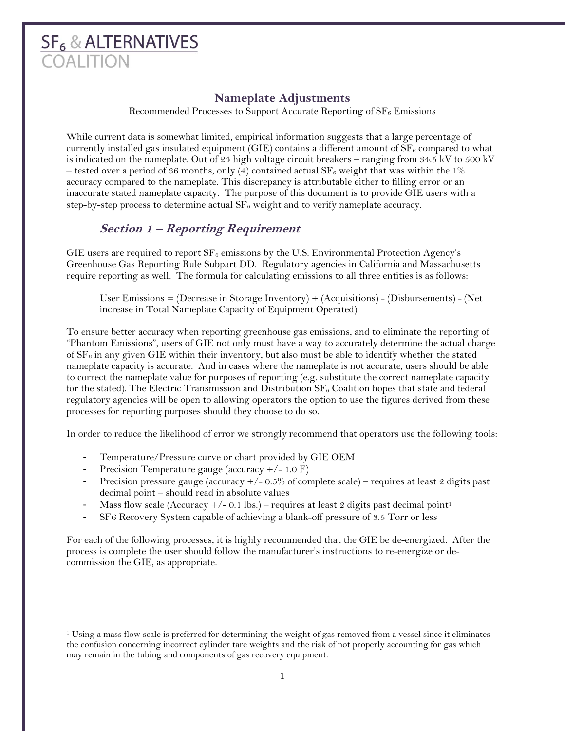# **SF<sub>6</sub> & ALTERNATIVES**

## **Nameplate Adjustments**

Recommended Processes to Support Accurate Reporting of  $SF_6$  Emissions

While current data is somewhat limited, empirical information suggests that a large percentage of currently installed gas insulated equipment (GIE) contains a different amount of  $SF<sub>6</sub>$  compared to what is indicated on the nameplate. Out of 24 high voltage circuit breakers – ranging from 34.5 kV to 500 kV – tested over a period of 36 months, only (4) contained actual  $SF_6$  weight that was within the 1% accuracy compared to the nameplate. This discrepancy is attributable either to filling error or an inaccurate stated nameplate capacity. The purpose of this document is to provide GIE users with a step-by-step process to determine actual  $SF<sub>6</sub>$  weight and to verify nameplate accuracy.

## **Section 1 – Reporting Requirement**

GIE users are required to report  $SF_6$  emissions by the U.S. Environmental Protection Agency's Greenhouse Gas Reporting Rule Subpart DD. Regulatory agencies in California and Massachusetts require reporting as well. The formula for calculating emissions to all three entities is as follows:

User Emissions = (Decrease in Storage Inventory) + (Acquisitions) - (Disbursements) - (Net increase in Total Nameplate Capacity of Equipment Operated)

To ensure better accuracy when reporting greenhouse gas emissions, and to eliminate the reporting of "Phantom Emissions", users of GIE not only must have a way to accurately determine the actual charge of  $SF<sub>6</sub>$  in any given GIE within their inventory, but also must be able to identify whether the stated nameplate capacity is accurate. And in cases where the nameplate is not accurate, users should be able to correct the nameplate value for purposes of reporting (e.g. substitute the correct nameplate capacity for the stated). The Electric Transmission and Distribution  $SF_6$  Coalition hopes that state and federal regulatory agencies will be open to allowing operators the option to use the figures derived from these processes for reporting purposes should they choose to do so.

In order to reduce the likelihood of error we strongly recommend that operators use the following tools:

- Temperature/Pressure curve or chart provided by GIE OEM
- Precision Temperature gauge (accuracy +/- 1.0 F)
- Precision pressure gauge (accuracy  $+/- 0.5\%$  of complete scale) requires at least 2 digits past decimal point – should read in absolute values
- Mass flow scale (Accuracy  $+/- 0.1$  lbs.) requires at least 2 digits past decimal point<sup>1</sup>
- SF6 Recovery System capable of achieving a blank-off pressure of 3.5 Torr or less

For each of the following processes, it is highly recommended that the GIE be de-energized. After the process is complete the user should follow the manufacturer's instructions to re-energize or decommission the GIE, as appropriate.

<sup>1</sup> Using a mass flow scale is preferred for determining the weight of gas removed from a vessel since it eliminates the confusion concerning incorrect cylinder tare weights and the risk of not properly accounting for gas which may remain in the tubing and components of gas recovery equipment.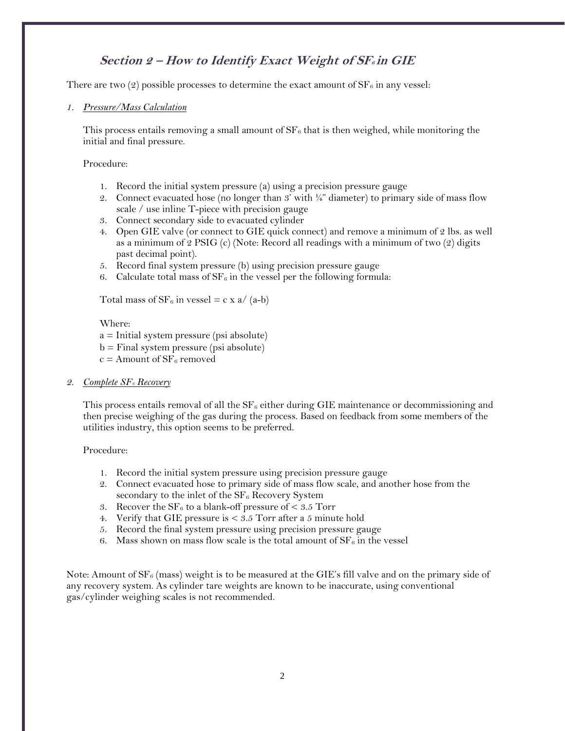## **Section 2 – How to Identify Exact Weight of SF6 in GIE**

There are two (2) possible processes to determine the exact amount of  $SF_6$  in any vessel:

#### *1. Pressure/Mass Calculation*

This process entails removing a small amount of  $SF_6$  that is then weighed, while monitoring the initial and final pressure.

Procedure:

- 1. Record the initial system pressure (a) using a precision pressure gauge
- 2. Connect evacuated hose (no longer than 3' with  $\frac{1}{4}$ " diameter) to primary side of mass flow scale / use inline T-piece with precision gauge
- 3. Connect secondary side to evacuated cylinder
- 4. Open GIE valve (or connect to GIE quick connect) and remove a minimum of 2 lbs. as well as a minimum of 2 PSIG (c) (Note: Record all readings with a minimum of two  $(2)$  digits past decimal point).
- 5. Record final system pressure (b) using precision pressure gauge
- 6. Calculate total mass of  $SF_6$  in the vessel per the following formula:

Total mass of  $SF_6$  in vessel = c x a/ (a-b)

Where:

- a = Initial system pressure (psi absolute)
- b = Final system pressure (psi absolute)
- $c =$  Amount of  $SF<sub>6</sub>$  removed
- *2. Complete SF<sup>6</sup> Recovery*

This process entails removal of all the  $SF<sub>6</sub>$  either during GIE maintenance or decommissioning and then precise weighing of the gas during the process. Based on feedback from some members of the utilities industry, this option seems to be preferred.

#### Procedure:

- 1. Record the initial system pressure using precision pressure gauge
- 2. Connect evacuated hose to primary side of mass flow scale, and another hose from the secondary to the inlet of the  $SF_6$  Recovery System
- 3. Recover the  $SF_6$  to a blank-off pressure of  $\lt 3.5$  Torr
- 4. Verify that GIE pressure is < 3.5 Torr after a 5 minute hold
- 5. Record the final system pressure using precision pressure gauge
- 6. Mass shown on mass flow scale is the total amount of  $SF_6$  in the vessel

Note: Amount of  $SF_6$  (mass) weight is to be measured at the GIE's fill valve and on the primary side of any recovery system. As cylinder tare weights are known to be inaccurate, using conventional gas/cylinder weighing scales is not recommended.